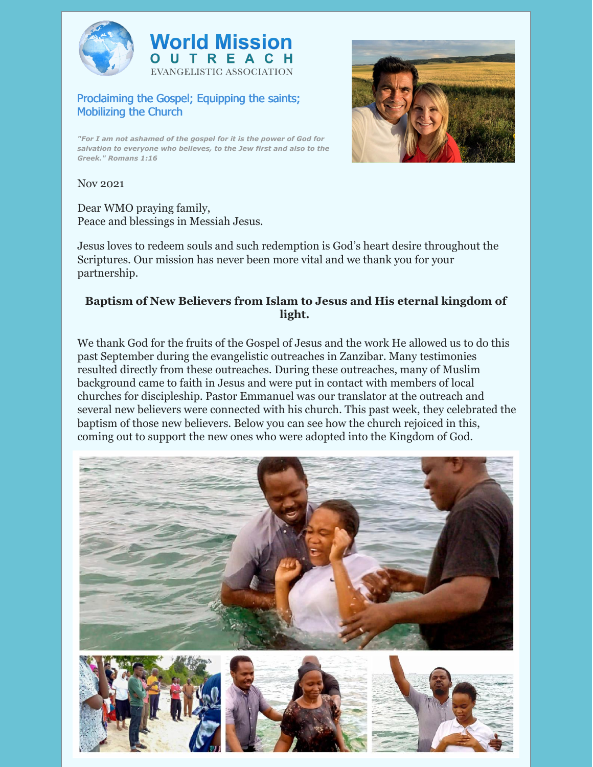



## Proclaiming the Gospel; Equipping the saints; Mobilizing the Church

*"For I am not ashamed of the gospel for it is the power of God for salvation to everyone who believes, to the Jew first and also to the Greek." Romans 1:16*



Nov 2021

Dear WMO praying family, Peace and blessings in Messiah Jesus.

Jesus loves to redeem souls and such redemption is God's heart desire throughout the Scriptures. Our mission has never been more vital and we thank you for your partnership.

## **Baptism of New Believers from Islam to Jesus and His eternal kingdom of light.**

We thank God for the fruits of the Gospel of Jesus and the work He allowed us to do this past September during the evangelistic outreaches in Zanzibar. Many testimonies resulted directly from these outreaches. During these outreaches, many of Muslim background came to faith in Jesus and were put in contact with members of local churches for discipleship. Pastor Emmanuel was our translator at the outreach and several new believers were connected with his church. This past week, they celebrated the baptism of those new believers. Below you can see how the church rejoiced in this, coming out to support the new ones who were adopted into the Kingdom of God.

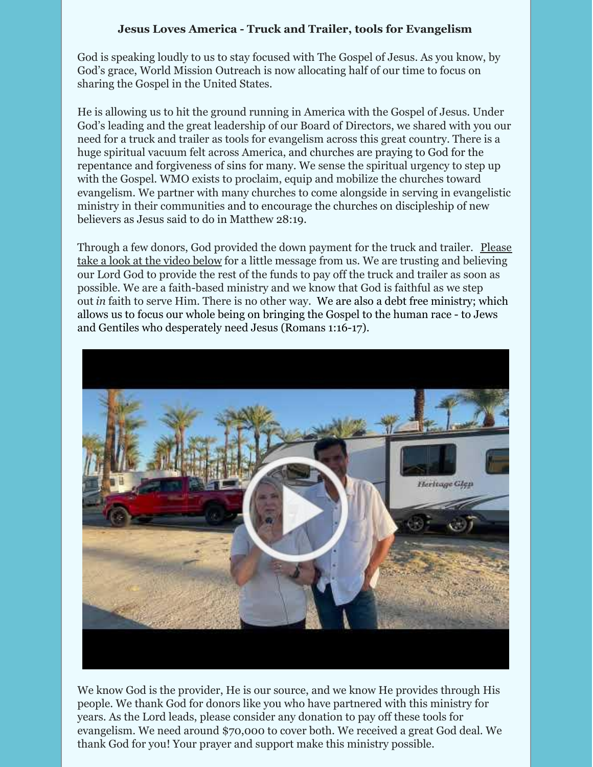## **Jesus Loves America - Truck and Trailer, tools for Evangelism**

God is speaking loudly to us to stay focused with The Gospel of Jesus. As you know, by God's grace, World Mission Outreach is now allocating half of our time to focus on sharing the Gospel in the United States.

He is allowing us to hit the ground running in America with the Gospel of Jesus. Under God's leading and the great leadership of our Board of Directors, we shared with you our need for a truck and trailer as tools for evangelism across this great country. There is a huge spiritual vacuum felt across America, and churches are praying to God for the repentance and forgiveness of sins for many. We sense the spiritual urgency to step up with the Gospel. WMO exists to proclaim, equip and mobilize the churches toward evangelism. We partner with many churches to come alongside in serving in evangelistic ministry in their communities and to encourage the churches on discipleship of new believers as Jesus said to do in Matthew 28:19.

Through a few donors, God provided the down payment for the truck and trailer. Please take a look at the video below for a little message from us. We are trusting and [believing](https://youtu.be/6ZNKT--B-_g) our Lord God to provide the rest of the funds to pay off the truck and trailer as soon as possible. We are a faith-based ministry and we know that God is faithful as we step out *in* faith to serve Him. There is no other way. We are also a debt free ministry; which allows us to focus our whole being on bringing the Gospel to the human race - to Jews and Gentiles who desperately need Jesus (Romans 1:16-17).



We know God is the provider, He is our source, and we know He provides through His people. We thank God for donors like you who have partnered with this ministry for years. As the Lord leads, please consider any donation to pay off these tools for evangelism. We need around \$70,000 to cover both. We received a great God deal. We thank God for you! Your prayer and support make this ministry possible.